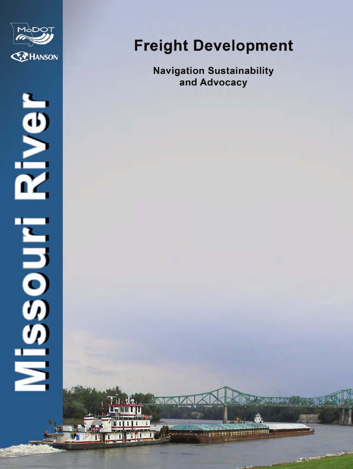

# River ENDIDED:

 $1 - 12$ . Har Hu

## **Freight Development**

**Navigation Sustainability** and Advocacy

200200

which ago agost agency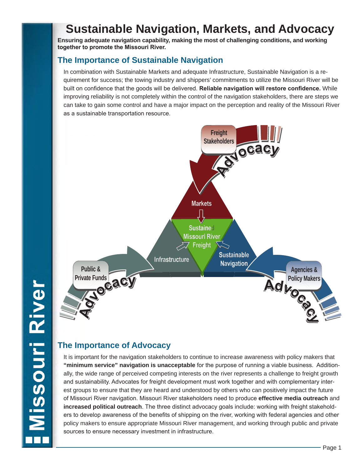## **Sustainable Navigation, Markets, and Advocacy**

**Ensuring adequate navigation capability, making the most of challenging conditions, and working together to promote the Missouri River.** 

## **The Importance of Sustainable Navigation**

In combination with Sustainable Markets and adequate Infrastructure, Sustainable Navigation is a requirement for success; the towing industry and shippers' commitments to utilize the Missouri River will be built on confidence that the goods will be delivered. **Reliable navigation will restore confidence.** While improving reliability is not completely within the control of the navigation stakeholders, there are steps we can take to gain some control and have a major impact on the perception and reality of the Missouri River as a sustainable transportation resource.



## **The Importance of Advocacy**

It is important for the navigation stakeholders to continue to increase awareness with policy makers that **"minimum service" navigation is unacceptable** for the purpose of running a viable business. Additionally, the wide range of perceived competing interests on the river represents a challenge to freight growth and sustainability. Advocates for freight development must work together and with complementary interest groups to ensure that they are heard and understood by others who can positively impact the future of Missouri River navigation. Missouri River stakeholders need to produce **effective media outreach** and **increased political outreach**. The three distinct advocacy goals include: working with freight stakeholders to develop awareness of the benefits of shipping on the river, working with federal agencies and other policy makers to ensure appropriate Missouri River management, and working through public and private sources to ensure necessary investment in infrastructure.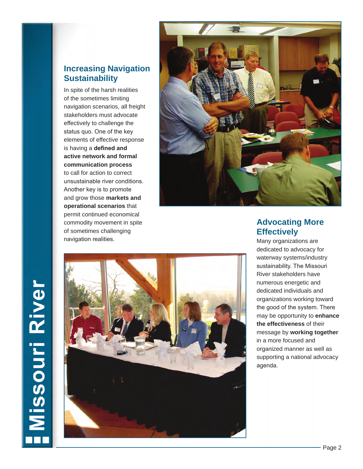## **Increasing Navigation Sustainability**

In spite of the harsh realities of the sometimes limiting navigation scenarios, all freight stakeholders must advocate effectively to challenge the status quo. One of the key elements of effective response is having a **defined and active network and formal communication process**  to call for action to correct unsustainable river conditions. Another key is to promote and grow those **markets and operational scenarios** that permit continued economical commodity movement in spite of sometimes challenging navigation realities.



## **Advocating More Effectively**

Many organizations are dedicated to advocacy for waterway systems/industry sustainability. The Missouri River stakeholders have numerous energetic and dedicated individuals and organizations working toward the good of the system. There may be opportunity to **enhance the effectiveness** of their message by **working together**  in a more focused and organized manner as well as supporting a national advocacy agenda.

## **Missouri River**

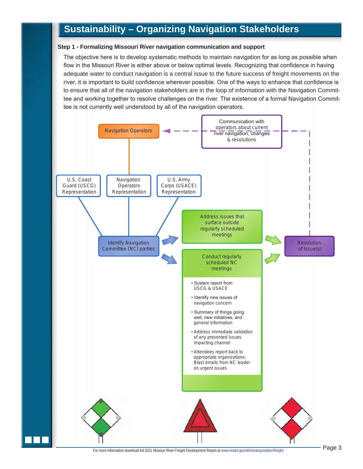## **Sustainability – Organizing Navigation Stakeholders**

### **Step 1 - Formalizing Missouri River navigation communication and support**

The objective here is to develop systematic methods to maintain navigation for as long as possible when flow in the Missouri River is either above or below optimal levels. Recognizing that confidence in having adequate water to conduct navigation is a central issue to the future success of freight movements on the river, it is important to build confidence wherever possible. One of the ways to enhance that confidence is to ensure that all of the navigation stakeholders are in the loop of information with the Navigation Committee and working together to resolve challenges on the river. The existence of a formal Navigation Committee is not currently well understood by all of the navigation operators.

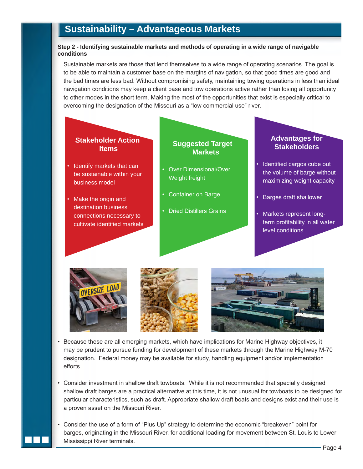## **Sustainability – Advantageous Markets**

## **Step 2 - Identifying sustainable markets and methods of operating in a wide range of navigable conditions**

Sustainable markets are those that lend themselves to a wide range of operating scenarios. The goal is to be able to maintain a customer base on the margins of navigation, so that good times are good and the bad times are less bad. Without compromising safety, maintaining towing operations in less than ideal navigation conditions may keep a client base and tow operations active rather than losing all opportunity to other modes in the short term. Making the most of the opportunities that exist is especially critical to overcoming the designation of the Missouri as a "low commercial use" river.









- Because these are all emerging markets, which have implications for Marine Highway objectives, it may be prudent to pursue funding for development of these markets through the Marine Highway M-70 designation. Federal money may be available for study, handling equipment and/or implementation efforts.
- Consider investment in shallow draft towboats. While it is not recommended that specially designed shallow draft barges are a practical alternative at this time, it is not unusual for towboats to be designed for particular characteristics, such as draft. Appropriate shallow draft boats and designs exist and their use is a proven asset on the Missouri River.
- Consider the use of a form of "Plus Up" strategy to determine the economic "breakeven" point for barges, originating in the Missouri River, for additional loading for movement between St. Louis to Lower Mississippi River terminals.